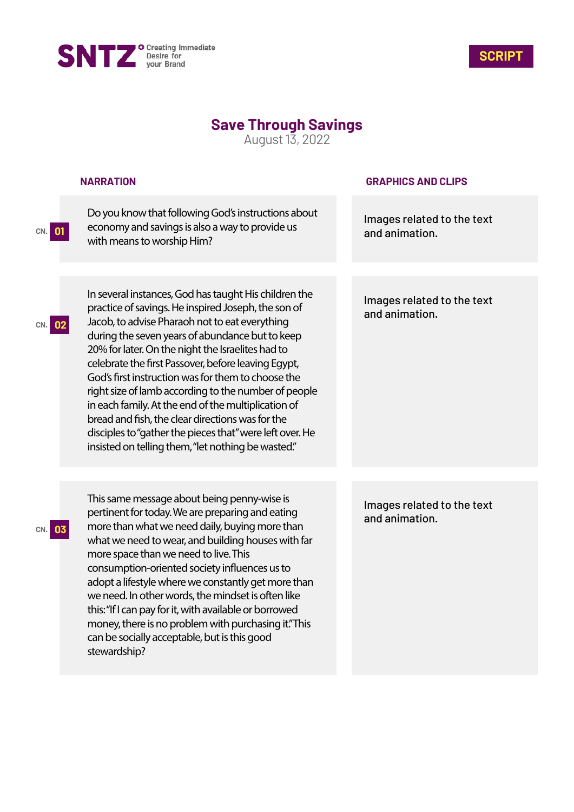



## **Save Through Savings**

August 13, 2022

|           | <b>NARRATION</b>                                                                                                                                                                                                                                                                                                                                                                                                                                                                                                                                                                                                                                                         | <b>GRAPHICS AND CLIPS</b>                    |
|-----------|--------------------------------------------------------------------------------------------------------------------------------------------------------------------------------------------------------------------------------------------------------------------------------------------------------------------------------------------------------------------------------------------------------------------------------------------------------------------------------------------------------------------------------------------------------------------------------------------------------------------------------------------------------------------------|----------------------------------------------|
| 01<br>CN. | Do you know that following God's instructions about<br>economy and savings is also a way to provide us<br>with means to worship Him?                                                                                                                                                                                                                                                                                                                                                                                                                                                                                                                                     | Images related to the text<br>and animation. |
| 02<br>CN. | In several instances, God has taught His children the<br>practice of savings. He inspired Joseph, the son of<br>Jacob, to advise Pharaoh not to eat everything<br>during the seven years of abundance but to keep<br>20% for later. On the night the Israelites had to<br>celebrate the first Passover, before leaving Egypt,<br>God's first instruction was for them to choose the<br>right size of lamb according to the number of people<br>in each family. At the end of the multiplication of<br>bread and fish, the clear directions was for the<br>disciples to "gather the pieces that" were left over. He<br>insisted on telling them, "let nothing be wasted." | Images related to the text<br>and animation. |
|           | This same message about being penny-wise is<br>pertinent for today. We are preparing and eating<br>more than what we need daily, buying more than<br>what we need to wear, and building houses with far<br>more space than we need to live. This<br>consumption-oriented society influences us to<br>adopt a lifestyle where we constantly get more than<br>we need. In other words, the mindset is often like<br>this: "If I can pay for it, with available or borrowed<br>money, there is no problem with purchasing it."This<br>can be socially acceptable, but is this good<br>stewardship?                                                                          | Images related to the text<br>and animation. |